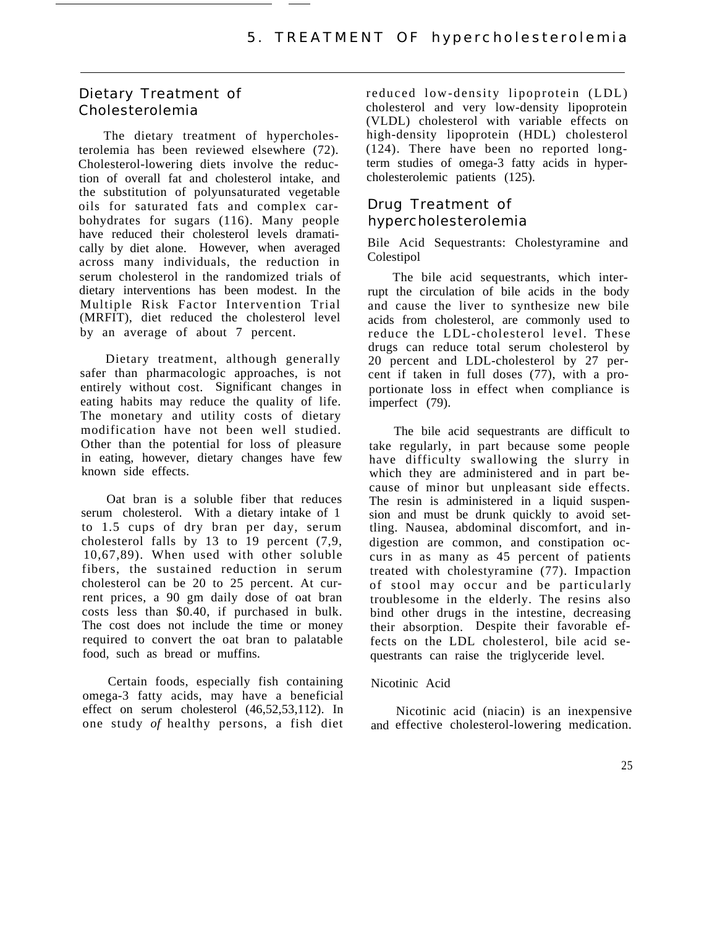# Dietary Treatment of Cholesterolemia

The dietary treatment of hypercholesterolemia has been reviewed elsewhere (72). Cholesterol-lowering diets involve the reduction of overall fat and cholesterol intake, and the substitution of polyunsaturated vegetable oils for saturated fats and complex carbohydrates for sugars (116). Many people have reduced their cholesterol levels dramatically by diet alone. However, when averaged across many individuals, the reduction in serum cholesterol in the randomized trials of dietary interventions has been modest. In the Multiple Risk Factor Intervention Trial (MRFIT), diet reduced the cholesterol level by an average of about 7 percent.

Dietary treatment, although generally safer than pharmacologic approaches, is not entirely without cost. Significant changes in eating habits may reduce the quality of life. The monetary and utility costs of dietary modification have not been well studied. Other than the potential for loss of pleasure in eating, however, dietary changes have few known side effects.

Oat bran is a soluble fiber that reduces serum cholesterol. With a dietary intake of 1 to 1.5 cups of dry bran per day, serum cholesterol falls by 13 to 19 percent (7,9, 10,67,89). When used with other soluble fibers, the sustained reduction in serum cholesterol can be 20 to 25 percent. At current prices, a 90 gm daily dose of oat bran costs less than \$0.40, if purchased in bulk. The cost does not include the time or money required to convert the oat bran to palatable food, such as bread or muffins.

Certain foods, especially fish containing omega-3 fatty acids, may have a beneficial effect on serum cholesterol (46,52,53,112). In one study *of* healthy persons, a fish diet reduced low-density lipoprotein (LDL) cholesterol and very low-density lipoprotein (VLDL) cholesterol with variable effects on high-density lipoprotein (HDL) cholesterol (124). There have been no reported longterm studies of omega-3 fatty acids in hypercholesterolemic patients (125).

# Drug Treatment of hypercholesterolemia

Bile Acid Sequestrants: Cholestyramine and Colestipol

The bile acid sequestrants, which interrupt the circulation of bile acids in the body and cause the liver to synthesize new bile acids from cholesterol, are commonly used to reduce the LDL-cholesterol level. These drugs can reduce total serum cholesterol by 20 percent and LDL-cholesterol by 27 percent if taken in full doses (77), with a proportionate loss in effect when compliance is imperfect (79).

The bile acid sequestrants are difficult to take regularly, in part because some people have difficulty swallowing the slurry in which they are administered and in part because of minor but unpleasant side effects. The resin is administered in a liquid suspension and must be drunk quickly to avoid settling. Nausea, abdominal discomfort, and indigestion are common, and constipation occurs in as many as 45 percent of patients treated with cholestyramine (77). Impaction of stool may occur and be particularly troublesome in the elderly. The resins also bind other drugs in the intestine, decreasing their absorption. Despite their favorable effects on the LDL cholesterol, bile acid sequestrants can raise the triglyceride level.

#### Nicotinic Acid

and effective cholesterol-lowering medication. Nicotinic acid (niacin) is an inexpensive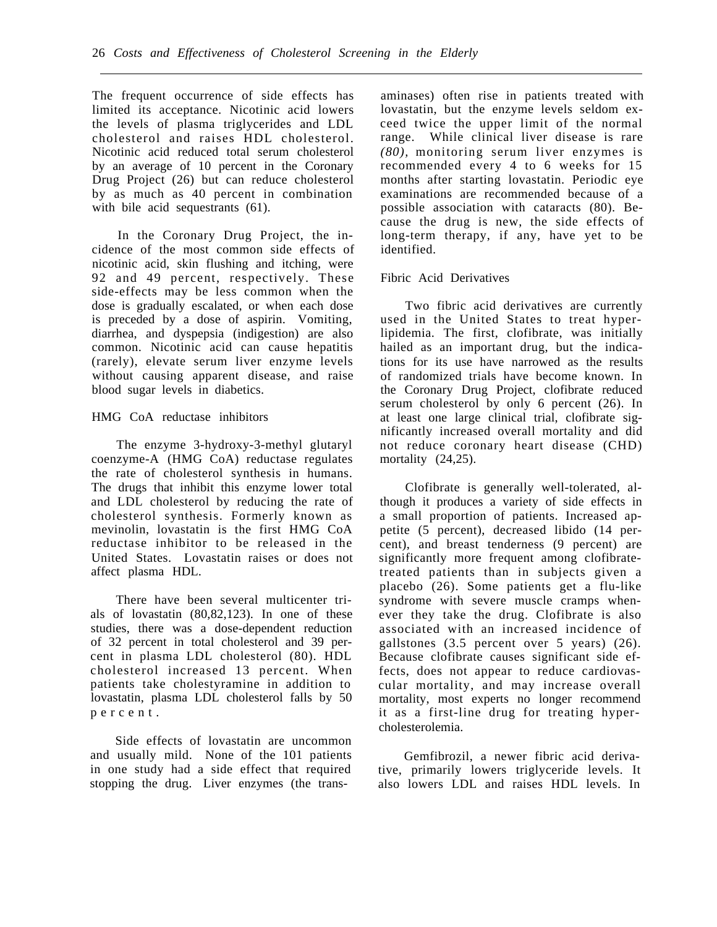The frequent occurrence of side effects has limited its acceptance. Nicotinic acid lowers the levels of plasma triglycerides and LDL cholesterol and raises HDL cholesterol. Nicotinic acid reduced total serum cholesterol by an average of 10 percent in the Coronary Drug Project (26) but can reduce cholesterol by as much as 40 percent in combination with bile acid sequestrants (61).

In the Coronary Drug Project, the incidence of the most common side effects of nicotinic acid, skin flushing and itching, were 92 and 49 percent, respectively. These side-effects may be less common when the dose is gradually escalated, or when each dose is preceded by a dose of aspirin. Vomiting, diarrhea, and dyspepsia (indigestion) are also common. Nicotinic acid can cause hepatitis (rarely), elevate serum liver enzyme levels without causing apparent disease, and raise blood sugar levels in diabetics.

HMG CoA reductase inhibitors

The enzyme 3-hydroxy-3-methyl glutaryl coenzyme-A (HMG CoA) reductase regulates the rate of cholesterol synthesis in humans. The drugs that inhibit this enzyme lower total and LDL cholesterol by reducing the rate of cholesterol synthesis. Formerly known as mevinolin, lovastatin is the first HMG CoA reductase inhibitor to be released in the United States. Lovastatin raises or does not affect plasma HDL.

There have been several multicenter trials of lovastatin (80,82,123). In one of these studies, there was a dose-dependent reduction of 32 percent in total cholesterol and 39 percent in plasma LDL cholesterol (80). HDL cholesterol increased 13 percent. When patients take cholestyramine in addition to lovastatin, plasma LDL cholesterol falls by 50 percent .

Side effects of lovastatin are uncommon and usually mild. None of the 101 patients in one study had a side effect that required stopping the drug. Liver enzymes (the transaminases) often rise in patients treated with lovastatin, but the enzyme levels seldom exceed twice the upper limit of the normal range. While clinical liver disease is rare *(80),* monitoring serum liver enzymes is recommended every 4 to 6 weeks for 15 months after starting lovastatin. Periodic eye examinations are recommended because of a possible association with cataracts (80). Because the drug is new, the side effects of long-term therapy, if any, have yet to be identified.

### Fibric Acid Derivatives

Two fibric acid derivatives are currently used in the United States to treat hyperlipidemia. The first, clofibrate, was initially hailed as an important drug, but the indications for its use have narrowed as the results of randomized trials have become known. In the Coronary Drug Project, clofibrate reduced serum cholesterol by only 6 percent (26). In at least one large clinical trial, clofibrate significantly increased overall mortality and did not reduce coronary heart disease (CHD) mortality  $(24,25)$ .

Clofibrate is generally well-tolerated, although it produces a variety of side effects in a small proportion of patients. Increased appetite (5 percent), decreased libido (14 percent), and breast tenderness (9 percent) are significantly more frequent among clofibratetreated patients than in subjects given a placebo (26). Some patients get a flu-like syndrome with severe muscle cramps whenever they take the drug. Clofibrate is also associated with an increased incidence of gallstones (3.5 percent over 5 years) (26). Because clofibrate causes significant side effects, does not appear to reduce cardiovascular mortality, and may increase overall mortality, most experts no longer recommend it as a first-line drug for treating hypercholesterolemia.

Gemfibrozil, a newer fibric acid derivative, primarily lowers triglyceride levels. It also lowers LDL and raises HDL levels. In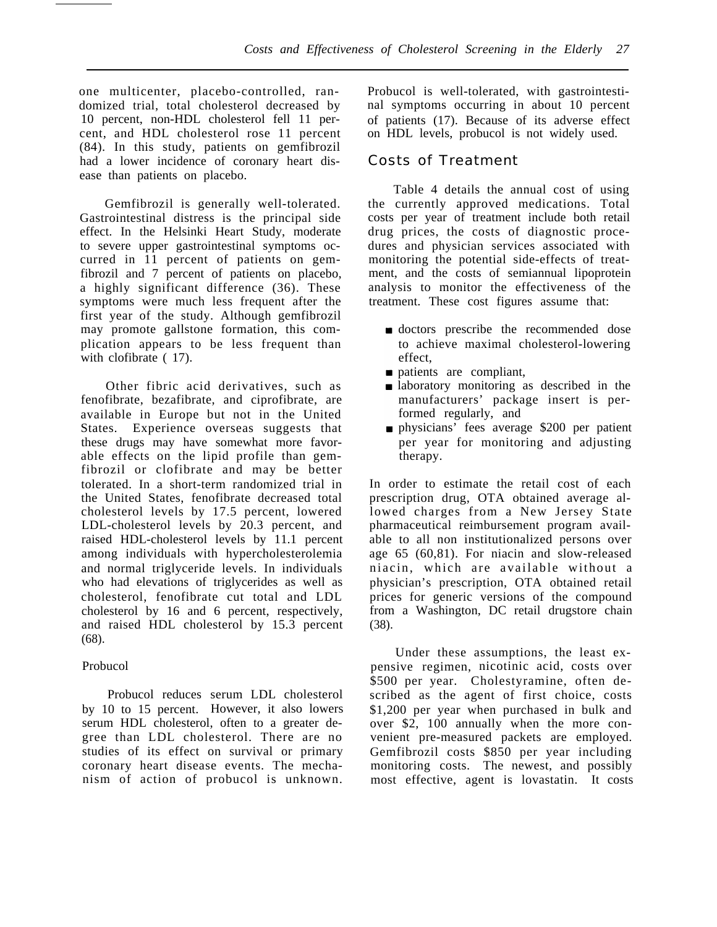one multicenter, placebo-controlled, randomized trial, total cholesterol decreased by 10 percent, non-HDL cholesterol fell 11 percent, and HDL cholesterol rose 11 percent (84). In this study, patients on gemfibrozil had a lower incidence of coronary heart disease than patients on placebo.

Gemfibrozil is generally well-tolerated. Gastrointestinal distress is the principal side effect. In the Helsinki Heart Study, moderate to severe upper gastrointestinal symptoms occurred in 11 percent of patients on gemfibrozil and 7 percent of patients on placebo, a highly significant difference (36). These symptoms were much less frequent after the first year of the study. Although gemfibrozil may promote gallstone formation, this complication appears to be less frequent than with clofibrate  $(17)$ .

Other fibric acid derivatives, such as fenofibrate, bezafibrate, and ciprofibrate, are available in Europe but not in the United States. Experience overseas suggests that these drugs may have somewhat more favorable effects on the lipid profile than gemfibrozil or clofibrate and may be better tolerated. In a short-term randomized trial in the United States, fenofibrate decreased total cholesterol levels by 17.5 percent, lowered LDL-cholesterol levels by 20.3 percent, and raised HDL-cholesterol levels by 11.1 percent among individuals with hypercholesterolemia and normal triglyceride levels. In individuals who had elevations of triglycerides as well as cholesterol, fenofibrate cut total and LDL cholesterol by 16 and 6 percent, respectively, and raised HDL cholesterol by 15.3 percent (68).

## Probucol

Probucol reduces serum LDL cholesterol by 10 to 15 percent. However, it also lowers serum HDL cholesterol, often to a greater degree than LDL cholesterol. There are no studies of its effect on survival or primary coronary heart disease events. The mechanism of action of probucol is unknown.

Probucol is well-tolerated, with gastrointestinal symptoms occurring in about 10 percent of patients (17). Because of its adverse effect on HDL levels, probucol is not widely used.

## Costs of Treatment

Table 4 details the annual cost of using the currently approved medications. Total costs per year of treatment include both retail drug prices, the costs of diagnostic procedures and physician services associated with monitoring the potential side-effects of treatment, and the costs of semiannual lipoprotein analysis to monitor the effectiveness of the treatment. These cost figures assume that:

- **doctors** prescribe the recommended dose to achieve maximal cholesterol-lowering effect,
- **patients** are compliant,
- **a** laboratory monitoring as described in the manufacturers' package insert is performed regularly, and
- physicians' fees average \$200 per patient per year for monitoring and adjusting therapy.

In order to estimate the retail cost of each prescription drug, OTA obtained average allowed charges from a New Jersey State pharmaceutical reimbursement program available to all non institutionalized persons over age 65 (60,81). For niacin and slow-released niacin, which are available without a physician's prescription, OTA obtained retail prices for generic versions of the compound from a Washington, DC retail drugstore chain (38).

Under these assumptions, the least expensive regimen, nicotinic acid, costs over \$500 per year. Cholestyramine, often described as the agent of first choice, costs \$1,200 per year when purchased in bulk and over \$2, 100 annually when the more convenient pre-measured packets are employed. Gemfibrozil costs \$850 per year including monitoring costs. The newest, and possibly most effective, agent is lovastatin. It costs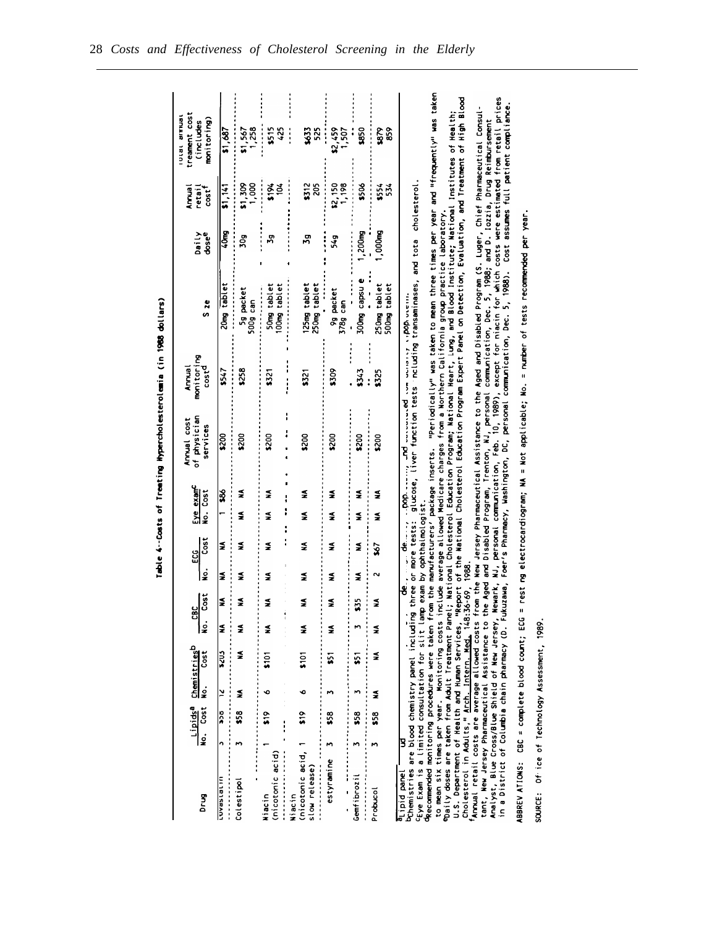|                                                                                                                                                                                                                                                                                                                                                                                                                                                                                                                                                          |         |                           |        |                                                      |                    |                                    |        |                                     |                                 |      | Table 4--Costs of Treating Mypercholesterolemia (in 1988 dollars)                                                                            |                                           |                                                                                                                                                                                                                                                                                                                                                                                                                                                                                                                                                                                                                                                                                                                                     |                |                               |                                                                                                                                                                                                                                                                                                                                                                                                                      |  |
|----------------------------------------------------------------------------------------------------------------------------------------------------------------------------------------------------------------------------------------------------------------------------------------------------------------------------------------------------------------------------------------------------------------------------------------------------------------------------------------------------------------------------------------------------------|---------|---------------------------|--------|------------------------------------------------------|--------------------|------------------------------------|--------|-------------------------------------|---------------------------------|------|----------------------------------------------------------------------------------------------------------------------------------------------|-------------------------------------------|-------------------------------------------------------------------------------------------------------------------------------------------------------------------------------------------------------------------------------------------------------------------------------------------------------------------------------------------------------------------------------------------------------------------------------------------------------------------------------------------------------------------------------------------------------------------------------------------------------------------------------------------------------------------------------------------------------------------------------------|----------------|-------------------------------|----------------------------------------------------------------------------------------------------------------------------------------------------------------------------------------------------------------------------------------------------------------------------------------------------------------------------------------------------------------------------------------------------------------------|--|
| Drug                                                                                                                                                                                                                                                                                                                                                                                                                                                                                                                                                     | ءِ<br>ڇ | Cost                      | ė      | Lipids <sup>a</sup> Chemistries <sup>b</sup><br>Cost | <b>CBC</b><br>No.  | Cost                               | ż      | Cost<br>ដូ                          | Eye exam <sup>c</sup><br>ن<br>ع | Cost | of physician<br>Annual cost<br>services                                                                                                      | monitoring<br>cost <sup>d</sup><br>Annual | S <sub>2e</sub>                                                                                                                                                                                                                                                                                                                                                                                                                                                                                                                                                                                                                                                                                                                     | dosee<br>Daily | <b>Amma</b><br>retai<br>cost' | treament cost<br><b>Brians</b> 18101<br>(includes                                                                                                                                                                                                                                                                                                                                                                    |  |
| uriensewon                                                                                                                                                                                                                                                                                                                                                                                                                                                                                                                                               | n       | $\frac{1}{2}$             | $\geq$ | 523                                                  | ≨                  | ≨                                  | ź      | ≨                                   |                                 | 3    | \$200                                                                                                                                        |                                           |                                                                                                                                                                                                                                                                                                                                                                                                                                                                                                                                                                                                                                                                                                                                     |                |                               | monitoring)                                                                                                                                                                                                                                                                                                                                                                                                          |  |
|                                                                                                                                                                                                                                                                                                                                                                                                                                                                                                                                                          |         |                           |        |                                                      |                    |                                    |        |                                     |                                 |      |                                                                                                                                              | \$547                                     | 20mg tablet                                                                                                                                                                                                                                                                                                                                                                                                                                                                                                                                                                                                                                                                                                                         | 40mg           | 51,141                        | \$1,687                                                                                                                                                                                                                                                                                                                                                                                                              |  |
| Colestipol                                                                                                                                                                                                                                                                                                                                                                                                                                                                                                                                               | m       | \$58                      | ş      | ş                                                    | ≨                  | ≨                                  | ≨      | ≸                                   | ≨                               | ≨    | \$200                                                                                                                                        | \$258                                     | 5g packet<br>500g can                                                                                                                                                                                                                                                                                                                                                                                                                                                                                                                                                                                                                                                                                                               | 30g            | \$1,309<br>1,000              | $\frac{1}{1}$ , 567                                                                                                                                                                                                                                                                                                                                                                                                  |  |
| (nicotonic acid)<br>Niacin                                                                                                                                                                                                                                                                                                                                                                                                                                                                                                                               |         | $\frac{8}{2}$<br>$\vdots$ | ∾      | $\frac{5}{101}$                                      | Ž                  | ź                                  | ≨      | ≨                                   | ≨                               | ≨    | \$200                                                                                                                                        | $\tilde{\mathbf{3}}$                      | 100mg tablet<br>50mg tablet                                                                                                                                                                                                                                                                                                                                                                                                                                                                                                                                                                                                                                                                                                         | 59             | 5194<br>ğ                     | \$515<br>425                                                                                                                                                                                                                                                                                                                                                                                                         |  |
| (nicotonic acid, 1<br>slow release)<br>Niacin                                                                                                                                                                                                                                                                                                                                                                                                                                                                                                            |         | $\frac{6}{10}$            | ł<br>∘ | $\frac{5}{101}$                                      | $\frac{1}{2}$<br>≨ | ≨                                  | ≨      | ≨                                   | ≨                               | ≨    | \$200                                                                                                                                        | $\overline{\mathbf{3}}$                   | 125mg tablet<br>250mg tablet                                                                                                                                                                                                                                                                                                                                                                                                                                                                                                                                                                                                                                                                                                        | 26             | \$312<br>205                  | 525<br>\$633<br>$\ddot{\cdot}$                                                                                                                                                                                                                                                                                                                                                                                       |  |
| estyramine                                                                                                                                                                                                                                                                                                                                                                                                                                                                                                                                               | M       | 53                        | m      | $\overline{\mathbf{5}}$                              | ≨                  | ź                                  | ≨      | ≨                                   | ≨                               | ≨    | \$200                                                                                                                                        | \$309                                     | 9g packet<br>378g can                                                                                                                                                                                                                                                                                                                                                                                                                                                                                                                                                                                                                                                                                                               | 549            | $\frac{22,150}{1,198}$        | \$2,459<br>1,507                                                                                                                                                                                                                                                                                                                                                                                                     |  |
| Gemfibrozil                                                                                                                                                                                                                                                                                                                                                                                                                                                                                                                                              | m       | 53                        | т      | 51                                                   | M                  | 55                                 | ≨      | ≨                                   | ≨                               | ≨    | \$200                                                                                                                                        | \$343                                     | 300mg capsu e                                                                                                                                                                                                                                                                                                                                                                                                                                                                                                                                                                                                                                                                                                                       | 1,200mg        | \$506                         | 550                                                                                                                                                                                                                                                                                                                                                                                                                  |  |
| Probucol                                                                                                                                                                                                                                                                                                                                                                                                                                                                                                                                                 |         | \$58                      | ≨      | ≨                                                    | ≨                  | ≨                                  | $\sim$ | $\tilde{\mathbf{s}}$                | ≨                               | ≨    | \$200                                                                                                                                        | \$325                                     | 250mg tablet<br>500mg tablet                                                                                                                                                                                                                                                                                                                                                                                                                                                                                                                                                                                                                                                                                                        | 1,000mg        | \$554<br>534                  | 859<br>es<br>Se                                                                                                                                                                                                                                                                                                                                                                                                      |  |
| Exem is a limited consultation for slit lamp exam by ophthalmologist.<br>Pchemistries are blood chemistry panel including<br>to mean six times per year. Monitoring costs i<br>Cholesterol in Adults," Arch. Intern. Med. 148:<br>in a District of Columbia chain pharmacy (D. Fu<br>ABBREV ATIONS: CBC = complete blood count; ECG<br>Analyst, Blue Cross/Blue Shield of New Jersey,<br>tant, New Jersey Pharmaceutical Assistance to<br>fAnnual retail costs are average allowed costs<br>U.S. Department of Health and Human Services,<br>Lipid panel | B       |                           |        |                                                      |                    | 36-69, 1988.<br>kuzawa,<br>Newark, |        | three or more tests:<br>$de \ldots$ |                                 |      | inder them are parameter of the things of the cod-<br>= rest ng electrocardiogram; NA = Not applicable; No.<br>glucose, liver function tests |                                           | Foer's Pharmacy, Washington, DC, personal communication, Dec. 5, 1988). Cost assumes full patient compliance.<br>from the New Jersey Pharmaceutical Assistance to the Aged and Disabled Program (S. Luger, Chief Pharmaceutical Consul-<br>Daily doses are taken from Adult Treatment Panel; National Cholesterol Education Program; National Heart, Lung, and Blood Institute; National Institutes of Health;<br>he Aged and Disabled Program, Trenton, NJ, personal communication, Dec. 5, 1988; and D. Iozzia, Drug Reimbursement.<br>including transaminases, and tota cholesterol<br>include average allowed Medicare charges from a Northern California group practice laboratory.<br>= number of tests recommended per year. |                |                               | Recommended monitoring procedures were taken from the manufacturers' package inserts. "Periodically" was taken to mean three times per year and "frequently" was taken<br>NJ, personal communication, Feb. 10, 1989), except for niacin for which costs were estimated from retail prices<br>Report of the Mational Cholesterol Education Program Expert Panel on Detection, Evaluation, and Treatment of High Blood |  |
|                                                                                                                                                                                                                                                                                                                                                                                                                                                                                                                                                          |         |                           |        |                                                      |                    |                                    |        |                                     |                                 |      |                                                                                                                                              |                                           |                                                                                                                                                                                                                                                                                                                                                                                                                                                                                                                                                                                                                                                                                                                                     |                |                               |                                                                                                                                                                                                                                                                                                                                                                                                                      |  |

SOURCE: Of ice of Technology Assessment, 1989.

28 *Costs and Effectiveness of Cholesterol Screening in the Elderly*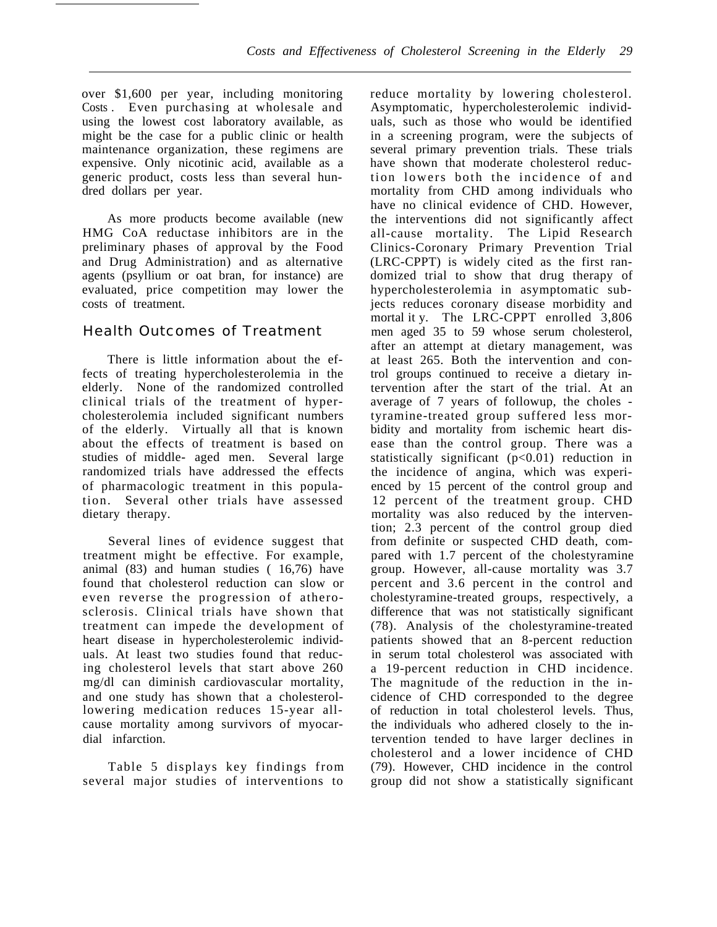over \$1,600 per year, including monitoring Costs . Even purchasing at wholesale and using the lowest cost laboratory available, as might be the case for a public clinic or health maintenance organization, these regimens are expensive. Only nicotinic acid, available as a generic product, costs less than several hundred dollars per year.

As more products become available (new HMG CoA reductase inhibitors are in the preliminary phases of approval by the Food and Drug Administration) and as alternative agents (psyllium or oat bran, for instance) are evaluated, price competition may lower the costs of treatment.

## Health Outcomes of Treatment

There is little information about the effects of treating hypercholesterolemia in the elderly. None of the randomized controlled clinical trials of the treatment of hypercholesterolemia included significant numbers of the elderly. Virtually all that is known about the effects of treatment is based on studies of middle- aged men. Several large randomized trials have addressed the effects of pharmacologic treatment in this population. Several other trials have assessed dietary therapy.

Several lines of evidence suggest that treatment might be effective. For example, animal (83) and human studies ( 16,76) have found that cholesterol reduction can slow or even reverse the progression of atherosclerosis. Clinical trials have shown that treatment can impede the development of heart disease in hypercholesterolemic individuals. At least two studies found that reducing cholesterol levels that start above 260 mg/dl can diminish cardiovascular mortality, and one study has shown that a cholesterollowering medication reduces 15-year allcause mortality among survivors of myocardial infarction.

Table 5 displays key findings from several major studies of interventions to

reduce mortality by lowering cholesterol. Asymptomatic, hypercholesterolemic individuals, such as those who would be identified in a screening program, were the subjects of several primary prevention trials. These trials have shown that moderate cholesterol reduction lowers both the incidence of and mortality from CHD among individuals who have no clinical evidence of CHD. However, the interventions did not significantly affect all-cause mortality. The Lipid Research Clinics-Coronary Primary Prevention Trial (LRC-CPPT) is widely cited as the first randomized trial to show that drug therapy of hypercholesterolemia in asymptomatic subjects reduces coronary disease morbidity and mortal it y. The LRC-CPPT enrolled 3,806 men aged 35 to 59 whose serum cholesterol, after an attempt at dietary management, was at least 265. Both the intervention and control groups continued to receive a dietary intervention after the start of the trial. At an average of 7 years of followup, the choles tyramine-treated group suffered less morbidity and mortality from ischemic heart disease than the control group. There was a statistically significant  $(p<0.01)$  reduction in the incidence of angina, which was experienced by 15 percent of the control group and 12 percent of the treatment group. CHD mortality was also reduced by the intervention; 2.3 percent of the control group died from definite or suspected CHD death, compared with 1.7 percent of the cholestyramine group. However, all-cause mortality was 3.7 percent and 3.6 percent in the control and cholestyramine-treated groups, respectively, a difference that was not statistically significant (78). Analysis of the cholestyramine-treated patients showed that an 8-percent reduction in serum total cholesterol was associated with a 19-percent reduction in CHD incidence. The magnitude of the reduction in the incidence of CHD corresponded to the degree of reduction in total cholesterol levels. Thus, the individuals who adhered closely to the intervention tended to have larger declines in cholesterol and a lower incidence of CHD (79). However, CHD incidence in the control group did not show a statistically significant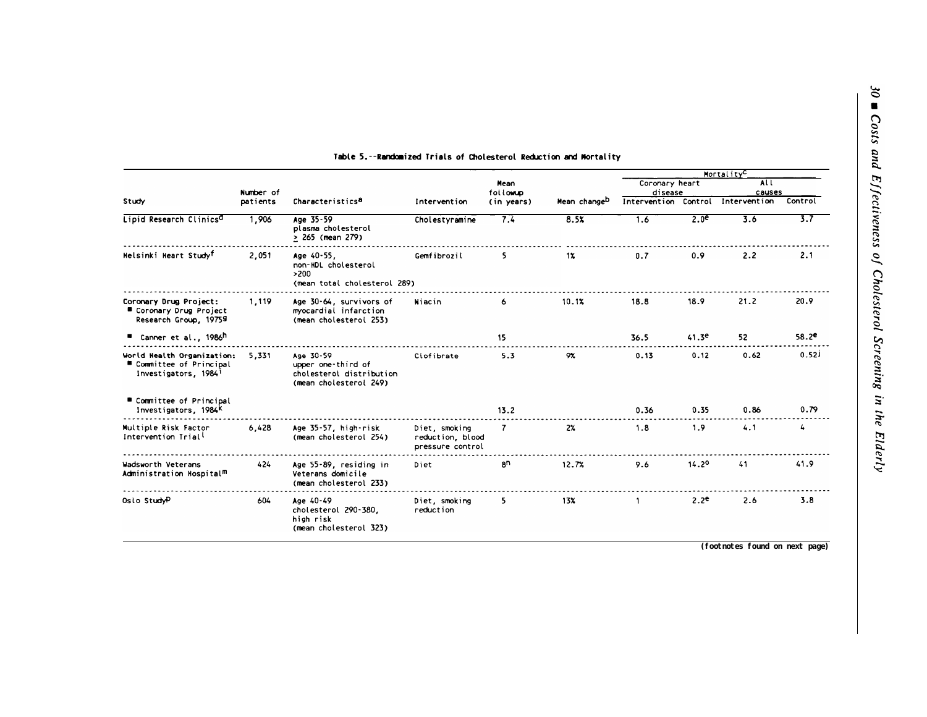|                                                                                            |                       |                                                                                       |                                                       |                         |                          |                                 |                  | Mortality <sup>C</sup> |                  |
|--------------------------------------------------------------------------------------------|-----------------------|---------------------------------------------------------------------------------------|-------------------------------------------------------|-------------------------|--------------------------|---------------------------------|------------------|------------------------|------------------|
|                                                                                            |                       |                                                                                       |                                                       | Mean                    |                          | Coronary heart                  |                  | ALL                    |                  |
| Study                                                                                      | Number of<br>patients | Characteristics <sup>a</sup>                                                          | Intervention                                          | following<br>(in years) | Mean change <sup>D</sup> | disease<br>Intervention Control |                  | causes<br>Intervention | Control          |
| Lipid Research Clinics <sup>d</sup>                                                        | 1,906                 | Age 35-59<br>plasma cholesterol<br>> 265 (mean 279)                                   | Cholestyramine                                        | 7.4                     | 8.5x                     | 1.6                             | 2.0 <sup>e</sup> | 3.6                    | $\overline{3.7}$ |
| Helsinki Heart Study <sup>f</sup>                                                          | 2,051                 | Age 40-55,<br>non-HDL cholesterol<br>>200<br>(mean total cholesterol 289)             | Gemfibrozil                                           | 5.                      | 1x                       | 0.7                             | 0.9              | 2.2                    | 2.1              |
| Coronary Drug Project:<br>■ Coronary Drug Project<br>Research Group, 19759                 | 1,119                 | Age 30-64, survivors of<br>myocardial infarction<br>(mean cholesterol 253)            | Niacin                                                | 6                       | 10.1%                    | 18.8                            | 18.9             | 21.2                   | 20.9             |
| ■ Canner et al., 1986h                                                                     |                       |                                                                                       |                                                       | 15                      |                          | 36.5                            | 41.3e            | 52                     | $58.2^e$         |
| World Health Organization:<br>■ Committee of Principal<br>Investigators, 1984 <sup>1</sup> | 5.331                 | Age 30-59<br>upper one-third of<br>cholesterol distribution<br>(mean cholesterol 249) | Ciofibrate                                            | 5.3                     | 9%                       | 0.13                            | 0.12             | 0.62                   | 0.52             |
| ■ Committee of Principal<br>Investigators, 1984K                                           |                       |                                                                                       |                                                       | 13.2                    |                          | 0.36                            | 0.35             | 0.86                   | 0.79             |
| Multiple Risk Factor<br>Intervention Trial <sup>l</sup>                                    | 6,428                 | Age 35-57, high-risk<br>(mean cholesterol 254)                                        | Diet, smoking<br>reduction, blood<br>pressure control | $\mathbf{7}$            | $2\%$                    | 1.8                             | 1.9              | 4.1                    | 4                |
| Wadsworth Veterans<br>Administration Hospital <sup>m</sup>                                 | 424                   | Age 55-89, residing in<br>Veterans domicile<br>(mean cholesterol 233)                 | Diet                                                  | 8 <sub>n</sub>          | 12.7%                    | 9.6                             | 14.2°            | 41                     | 41.9             |
| Oslo StudyP                                                                                | 604                   | Age 40-49<br>cholesterol 290-380,<br>high risk<br>(mean cholesterol 323)              | Diet, smoking<br>reduction                            | 5.                      | 13%                      |                                 | 2.2 <sup>e</sup> | 2.6                    | 3.8              |

#### Table 5.--Randomized Trials of Cholesterol Reduction and Mortality

**(footnotes found on next page)**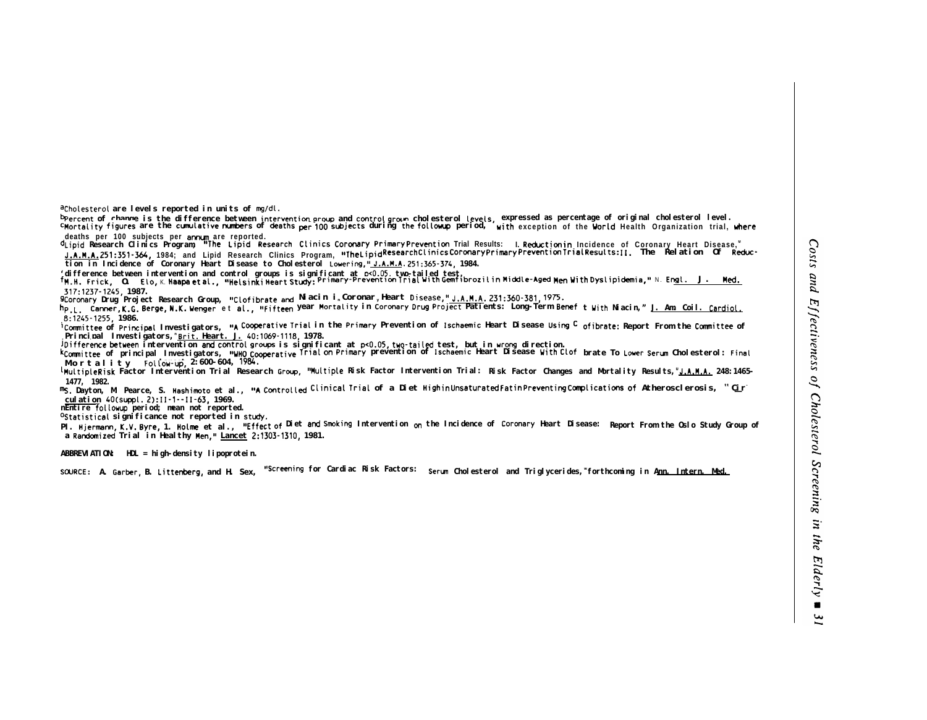**acho(esterol are levels reported in units of mg/dL.**

Peercent of change is the difference between int**ervention group** and **control group cho**lesterol levels, expressed as percentage of original cholesterol level.<br>C**Mortality figures** are the **cumulative numbers** of deaths p

-deaths per 100 subjects per **annum** are reported.<br><sup>d</sup>Lipid Research Clinics Program, **"The Lipid Research Clinics Coronary PrimaryPrevention Trial Results: I.Reductionin Incidence of Coronary Heart Disease,"** J.A.M.A.251:351-364, 1984; and Lipid Research Clinics Program, "The Lipid Research Clinics Coronary Primary Prevention Trial Results: [1. The Relation Of Reduc**tion in Incidence of Coronary Heart Disease to Cholesterol Lowering,~ J.A.M.A. 251:365-374, 1984.**

(difference between intervention and control groups is significant at p<0.05, two-tailed test.<br>TM.H. Frick, O. Elo,K.H<mark>aapaletal., "HelsinkiHeartStudy:Primary-PreventionTrialWithGemfibrozilinMiddle-Aged Men WithDyslipidemi</mark> **317:1237-1245, 1987.**

**9Coronary Drug Project Research Group, Ilclofibrate ad Niacin in Coronary Heart Disease,ll J.A.M.A. 231:360-381, 1975.**

hp.L. Canner,K.G.Berge,N.K.Wenger et al., "Fifteen Year Mortality in Coronary Drug Project Patients: Long-Term Benef twith Niacin," <u>J. Am. Coil. Cardiol</u> **.8:1245-1255, 1986.**

**ICommittee of Principal Investigators, <b>"A Cooperative Trial** in the **Primary** Prevention of **Ischaemic** Heart Disease **Using <sup>C</sup> ofibrate:** Report From the **Committee** of **Principal Investigators,<sup>n</sup>Brit. Heart. J. 40:1069-1118, 1978.**

**jDifference between intervention and control groups is significant at p<O.05, two-tai(d test, but in urong direction.**

**kcommittee** of principal Investigators, **"WHO cooperative Trial on Primary** prevention of I**schaemic** Heart Disease With Clof brate To Lower Serum Cholesterol: Final **Mortality FoLlow-up, u Lancet 2:600-604, 1984.**

**Lmultiple Risk Factor Intervention Trial Research Group, l\$Mu(tiple Risk Factor Intervention Trial: Risk Factor Changes and Mortality Results,<sup>U</sup>J.A.M.A. 248:1465- 1477, 1982.**

ms. Dayton, M. Pearce, S. **Hashimoto** et al., **"A Controlled Clinical Trial** of a Diet **HighinUnsaturatedFatinPreventingComplications of** Atherosclerosis, "C<u>i</u>r" **culation 40(suppl. 2):11-1--11-63, 1969.**

**nEntire followup period; mean not reported.**

**Ostatistical** significance not reported in study.

**PI. Hjermann, K.V. Byre, 1. Holme** et al., "Effect of Diet and Smoking Intervention on the Incidence of Coronary Heart Disease: Report From the Oslo Study Group of **a Randanized Trial in Healthy Men," Lancet 2:1303-1310, 1981.**

**ABBREVIATION: HDL = high-density lipoprotein.**

**SUJRCE: A. Garber, B. Littenberg, and H. Sex, IIScreening for Cardiac Risk Factors: Serun Cholesterol and Triglycerides,<sup>w</sup>forthcoming in Ann. Intern. Med.**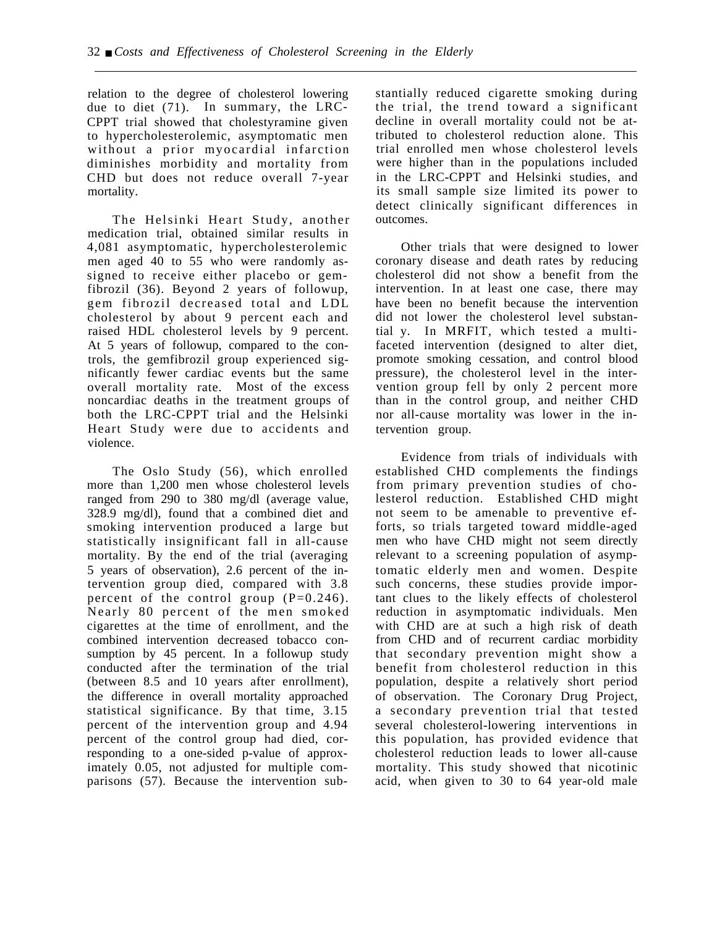relation to the degree of cholesterol lowering due to diet (71). In summary, the LRC-CPPT trial showed that cholestyramine given to hypercholesterolemic, asymptomatic men without a prior myocardial infarction diminishes morbidity and mortality from CHD but does not reduce overall 7-year mortality.

The Helsinki Heart Study, another medication trial, obtained similar results in 4,081 asymptomatic, hypercholesterolemic men aged 40 to 55 who were randomly assigned to receive either placebo or gemfibrozil (36). Beyond 2 years of followup, gem fibrozil decreased total and LDL cholesterol by about 9 percent each and raised HDL cholesterol levels by 9 percent. At 5 years of followup, compared to the controls, the gemfibrozil group experienced significantly fewer cardiac events but the same overall mortality rate. Most of the excess noncardiac deaths in the treatment groups of both the LRC-CPPT trial and the Helsinki Heart Study were due to accidents and violence.

The Oslo Study (56), which enrolled more than 1,200 men whose cholesterol levels ranged from 290 to 380 mg/dl (average value, 328.9 mg/dl), found that a combined diet and smoking intervention produced a large but statistically insignificant fall in all-cause mortality. By the end of the trial (averaging 5 years of observation), 2.6 percent of the intervention group died, compared with 3.8 percent of the control group  $(P=0.246)$ . Nearly 80 percent of the men smoked cigarettes at the time of enrollment, and the combined intervention decreased tobacco consumption by 45 percent. In a followup study conducted after the termination of the trial (between 8.5 and 10 years after enrollment), the difference in overall mortality approached statistical significance. By that time, 3.15 percent of the intervention group and 4.94 percent of the control group had died, corresponding to a one-sided p-value of approximately 0.05, not adjusted for multiple comparisons (57). Because the intervention substantially reduced cigarette smoking during the trial, the trend toward a significant decline in overall mortality could not be attributed to cholesterol reduction alone. This trial enrolled men whose cholesterol levels were higher than in the populations included in the LRC-CPPT and Helsinki studies, and its small sample size limited its power to detect clinically significant differences in outcomes.

Other trials that were designed to lower coronary disease and death rates by reducing cholesterol did not show a benefit from the intervention. In at least one case, there may have been no benefit because the intervention did not lower the cholesterol level substantial y. In MRFIT, which tested a multifaceted intervention (designed to alter diet, promote smoking cessation, and control blood pressure), the cholesterol level in the intervention group fell by only 2 percent more than in the control group, and neither CHD nor all-cause mortality was lower in the intervention group.

Evidence from trials of individuals with established CHD complements the findings from primary prevention studies of cholesterol reduction. Established CHD might not seem to be amenable to preventive efforts, so trials targeted toward middle-aged men who have CHD might not seem directly relevant to a screening population of asymptomatic elderly men and women. Despite such concerns, these studies provide important clues to the likely effects of cholesterol reduction in asymptomatic individuals. Men with CHD are at such a high risk of death from CHD and of recurrent cardiac morbidity that secondary prevention might show a benefit from cholesterol reduction in this population, despite a relatively short period of observation. The Coronary Drug Project, a secondary prevention trial that tested several cholesterol-lowering interventions in this population, has provided evidence that cholesterol reduction leads to lower all-cause mortality. This study showed that nicotinic acid, when given to 30 to 64 year-old male